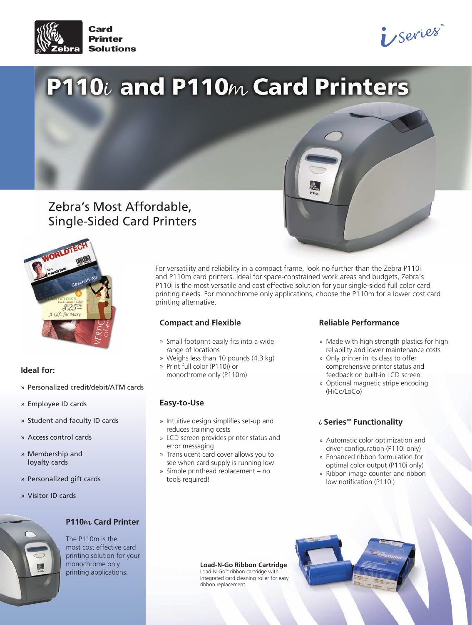

*i*series

# P110i and P110m Card Printers

## Zebra's Most Affordable, Single-Sided Card Printers



### **Ideal for:**

- » Personalized credit/debit/ATM cards
- » Employee ID cards
- » Student and faculty ID cards
- » Access control cards
- » Membership and loyalty cards
- » Personalized gift cards
- » Visitor ID cards

#### **P110**m **Card Printer**

The P110m is the most cost effective card printing solution for your monochrome only printing applications.

For versatility and reliability in a compact frame, look no further than the Zebra P110i and P110m card printers. Ideal for space-constrained work areas and budgets, Zebra's P110i is the most versatile and cost effective solution for your single-sided full color card printing needs. For monochrome only applications, choose the P110m for a lower cost card printing alternative.

#### **Compact and Flexible**

- » Small footprint easily fits into a wide range of locations
- » Weighs less than 10 pounds (4.3 kg) » Print full color (P110i) or
- monochrome only (P110m)

#### **Easy-to-Use**

- » Intuitive design simplifies set-up and reduces training costs
- » LCD screen provides printer status and error messaging
- » Translucent card cover allows you to see when card supply is running low
- » Simple printhead replacement no tools required!

#### **Reliable Performance**

- » Made with high strength plastics for high reliability and lower maintenance costs
- » Only printer in its class to offer comprehensive printer status and feedback on built-in LCD screen
- » Optional magnetic stripe encoding (HiCo/LoCo)

#### i **Series™ Functionality**

- » Automatic color optimization and driver configuration (P110i only)
- » Enhanced ribbon formulation for optimal color output (P110i only)
- » Ribbon image counter and ribbon low notification (P110i)

**Load-N-Go Ribbon Cartridge** Load-N-Go™ ribbon cartridge with integrated card cleaning roller for easy

ribbon replacement